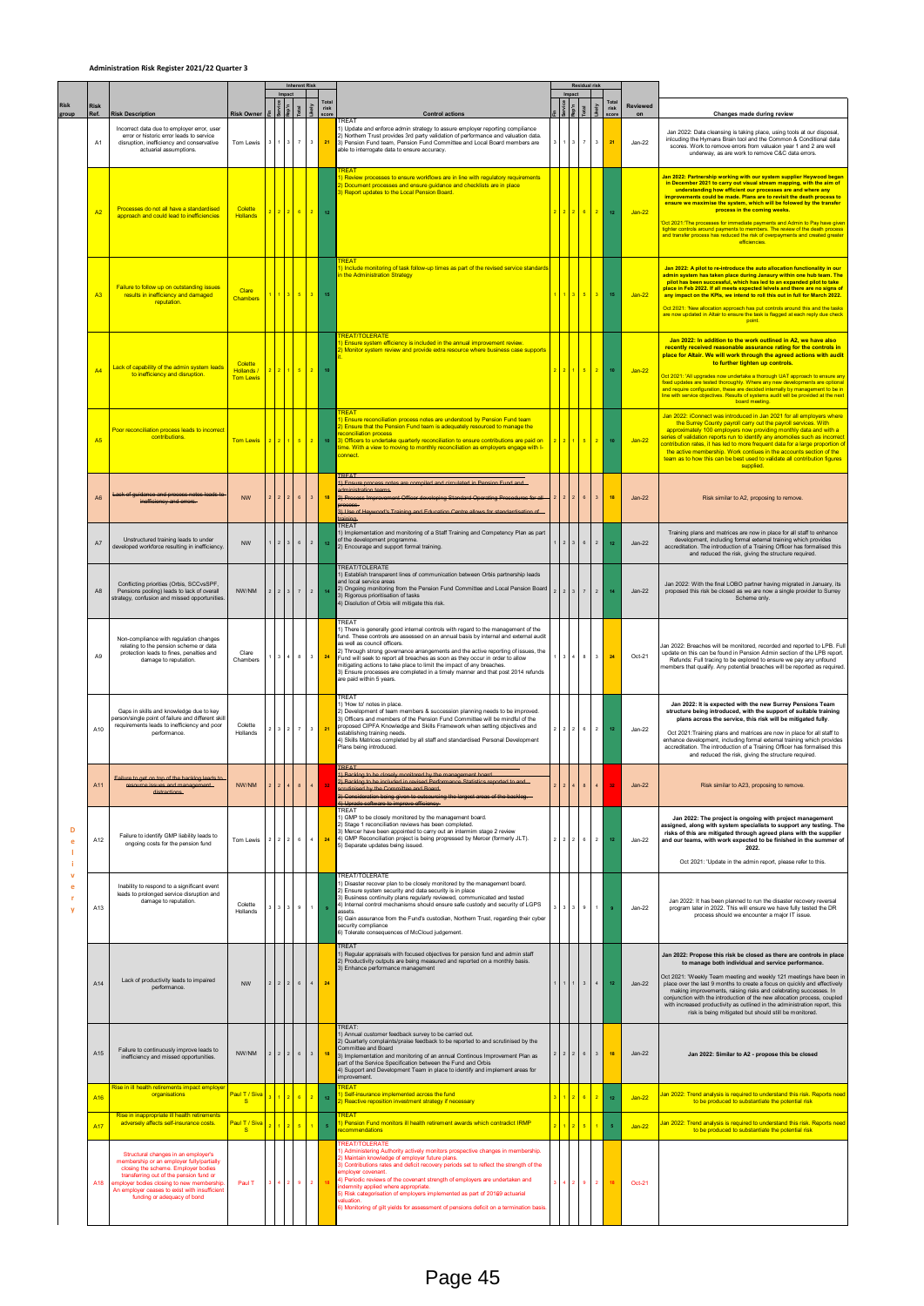## **Administration Risk Register 2021/22 Quarter 3**

|                       |                                       |                                                                                                                                                                                                                                                                                                 |                                           |                | Impact                  | <b>Inherent Risk</b>    |                  |                             |                                                                                                                                                                                                                                                                                                                                                                                                                                                                                                                                                                                         | Residual risk<br>Impact |                         |                                  |                    |                         |                            |                                                                                                                                                                                                                                                                                                                                                                                                                                                                                                                                                                                                                                                              |
|-----------------------|---------------------------------------|-------------------------------------------------------------------------------------------------------------------------------------------------------------------------------------------------------------------------------------------------------------------------------------------------|-------------------------------------------|----------------|-------------------------|-------------------------|------------------|-----------------------------|-----------------------------------------------------------------------------------------------------------------------------------------------------------------------------------------------------------------------------------------------------------------------------------------------------------------------------------------------------------------------------------------------------------------------------------------------------------------------------------------------------------------------------------------------------------------------------------------|-------------------------|-------------------------|----------------------------------|--------------------|-------------------------|----------------------------|--------------------------------------------------------------------------------------------------------------------------------------------------------------------------------------------------------------------------------------------------------------------------------------------------------------------------------------------------------------------------------------------------------------------------------------------------------------------------------------------------------------------------------------------------------------------------------------------------------------------------------------------------------------|
| <b>Risk</b><br>group  | <b>Risk</b><br>Ref.<br>A <sub>1</sub> | <b>Risk Description</b><br>Incorrect data due to employer error, user<br>error or historic error leads to service<br>disruption, inefficiency and conservative                                                                                                                                  | <b>Risk Owner</b><br>Tom Lewis            |                | $\overline{\mathbf{3}}$ | i<br>$\overline{7}$     | Likely<br>$^3\,$ | Tota<br>risk<br>score<br>21 | <b>Control actions</b><br><b>TREAT</b><br>1) Update and enforce admin strategy to assure employer reporting compliance<br>2) Northern Trust provides 3rd party validation of performance and valuation data.<br>3) Pension Fund team, Pension Fund Committee and Local Board members are                                                                                                                                                                                                                                                                                                |                         |                         | $\overline{a}$<br>$\overline{7}$ | koly<br>$^{\rm 3}$ | risk<br>21              | Reviewed<br>on<br>$Jan-22$ | Changes made during review<br>Jan 2022: Data cleansing is taking place, using tools at our disposal<br>inlcuding the Hymans Brain tool and the Common & Conditional data                                                                                                                                                                                                                                                                                                                                                                                                                                                                                     |
|                       |                                       | actuarial assumptions.                                                                                                                                                                                                                                                                          |                                           |                |                         |                         |                  |                             | able to interrogate data to ensure accuracy.                                                                                                                                                                                                                                                                                                                                                                                                                                                                                                                                            |                         |                         |                                  |                    |                         |                            | scores. Work to remove errors from valuaion year 1 and 2 are well<br>underway, as are work to remove C&C data errors.                                                                                                                                                                                                                                                                                                                                                                                                                                                                                                                                        |
|                       | A2                                    | Processes do not all have a standardised<br>approach and could lead to inefficiencies                                                                                                                                                                                                           | Colette<br><b>Hollands</b>                |                | $\overline{2}$          | 6 <sup>1</sup>          | $\sqrt{2}$       | 12                          | <b>REAT</b><br>) Review processes to ensure workflows are in line with regulatory requirements<br>) Document processes and ensure guidance and checklists are in place<br>3) Report updates to the Local Pension Board.                                                                                                                                                                                                                                                                                                                                                                 |                         | $\overline{2}$          | $\overline{6}$                   | $\vert$ 2          | 12                      | $Jan-22$                   | Jan 2022: Partnership working with our system supplier Heywood began<br>In December 2021 to carry out visual stream mapping, with the aim of<br>understanding how efficient our processes are and where any<br>improvements could be made. Plans are to revisit the death process to<br>ensure we maximise the system, which will be folowed by the transfer<br>process in the coming weeks.<br>'Oct 2021: The processes for immediate payments and Admin to Pay have giver<br>tighter controls around payments to members. The review of the death process<br>and transfer process has reduced the risk of overpayments and created greater<br>efficiencies |
|                       | A <sub>3</sub>                        | Failure to follow up on outstanding issues<br>results in inefficiency and damaged<br>reputation.                                                                                                                                                                                                | Clare<br><b>Chambers</b>                  |                |                         | 35                      | 3 <sup>2</sup>   | 15                          | 1) Include monitoring of task follow-up times as part of the revised service standards<br>n the Administration Strategy                                                                                                                                                                                                                                                                                                                                                                                                                                                                 |                         | $\overline{\mathbf{3}}$ |                                  | $5 \mid 3$         | 15                      | $Jan-22$                   | Jan 2022: A pilot to re-introduce the auto allocation functionality in our<br>admin system has taken place during Janaury within one hub team. The<br>pilot has been successful, which has led to an expanded pilot to take<br>place in Feb 2022. If all meets expected leivels and there are no signs of<br>any impact on the KPIs, we intend to roll this out in full for March 2022.<br>Oct 2021: 'New allocation approach has put controls around this and the tasks<br>are now updated in Altair to ensure the task is flagged at each reply due check<br>point.                                                                                        |
|                       | A <sub>4</sub>                        | Lack of capability of the admin system leads<br>to inefficiency and disruption.                                                                                                                                                                                                                 | Colette<br>Hollands /<br><b>Tom Lewis</b> |                |                         | $2$ $1$ $5$             | $\vert$ 2        | 10                          | <b>REAT/TOLERATE</b><br>D Ensure system efficiency is included in the annual improvement review.<br>) Monitor system review and provide extra resource where business case supports                                                                                                                                                                                                                                                                                                                                                                                                     |                         |                         | $1 \t5 \t2$                      |                    | 10                      | $Jan-22$                   | Jan 2022: In addition to the work outlined in A2, we have also<br>recently received reasonable assurance rating for the controls in<br>place for Altair. We will work through the agreed actions with audit<br>to further tighten up controls.<br>Oct 2021: 'All upgrades now undertake a thorough UAT approach to ensure any<br>fixed updates are tested thoroughly. Where any new developments are optional<br>and require configuration, these are decided internally by management to be in<br>line with service objectives. Results of systems audit will be provided at the next<br>board meeting                                                      |
|                       | A <sub>5</sub>                        | Poor reconciliation process leads to incorrect<br>contributions.                                                                                                                                                                                                                                | <b>Tom Lewis</b>                          |                |                         | 5 <sub>5</sub>          | 2 <sup>7</sup>   | 10                          | <b>RFA1</b><br>D Ensure reconciliation process notes are understood by Pension Fund team<br>(2) Ensure that the Pension Fund team is adequately resourced to manage the<br>econciliation process<br>3) Officers to undertake quarterly reconciliation to ensure contributions are paid on<br>lime. With a view to moving to monthly reconciliation as employers engage with I-<br>connect                                                                                                                                                                                               |                         |                         | $\overline{\phantom{a}}$         | $\overline{2}$     | 10                      | $Jan-22$                   | Jan 2022: iConnect was introduced in Jan 2021 for all employers where<br>the Surrey County payroll carry out the payroll services. With<br>approximately 100 employers now providing monthly data and with a<br>series of validation reports run to identify any anomolies such as incorrect<br>contribution rates, it has led to more frequent data for a large proportion of<br>the active membership. Work contiues in the accounts section of the<br>team as to how this can be best used to validate all contribution figures<br>supplied.                                                                                                              |
|                       | A6                                    | ack of guidance and process notes<br>inefficiency and errors.                                                                                                                                                                                                                                   | <b>NW</b>                                 |                |                         | $\,$ 6                  | $\mathbf{3}$     | 18                          | <b>TREA</b><br>1) Ensure process notes are compiled and circulated in Pension Fund and<br><b>Iministration teams</b><br>2) Pros<br>3) Use of Hewwood's Train                                                                                                                                                                                                                                                                                                                                                                                                                            |                         |                         |                                  |                    | 18                      | $Jan-22$                   | Risk similar to A2, proposing to remove.                                                                                                                                                                                                                                                                                                                                                                                                                                                                                                                                                                                                                     |
|                       | A7                                    | Unstructured training leads to under<br>developed workforce resulting in inefficiency.                                                                                                                                                                                                          | <b>NW</b>                                 |                |                         | $_{\rm 6}$              | $\,$ 2 $\,$      | 12                          | TREAT<br>1) Implementation and monitoring of a Staff Training and Competency Plan as part<br>of the development programme.<br>2) Encourage and support formal training.                                                                                                                                                                                                                                                                                                                                                                                                                 |                         |                         | 6                                | $\overline{2}$     | 12                      | $Jan-22$                   | Training plans and matrices are now in place for all staff to enhance<br>development, including formal external training which provides<br>accreditation. The introduction of a Training Officer has formalised this<br>and reduced the risk, giving the structure required.                                                                                                                                                                                                                                                                                                                                                                                 |
| D<br>$\mathbf v$<br>e | A <sub>8</sub>                        | Conflicting priorities (Orbis, SCCvsSPF,<br>Pensions pooling) leads to lack of overall<br>strategy, confusion and missed opportunities                                                                                                                                                          | NW/NM                                     |                |                         | $\boldsymbol{7}$        | $\mathbf{2}^-$   | 14                          | <b>TREAT/TOLERATE</b><br>1) Establish transparent lines of communication between Orbis partnership leads<br>and local service areas<br>2) Ongoing monitoring from the Pension Fund Committee and Local Pension Board<br>3) Rigorous prioritisation of tasks<br>4) Disolution of Orbis will mitigate this risk                                                                                                                                                                                                                                                                           |                         |                         | $\overline{7}$                   | $\overline{2}$     | 14                      | $Jan-22$                   | Jan 2022: With the final LOBO partner having migrated in January, its<br>proposed this risk be closed as we are now a single provider to Surrey<br>Scheme only.                                                                                                                                                                                                                                                                                                                                                                                                                                                                                              |
|                       | A <sub>9</sub>                        | Non-compliance with regulation changes<br>relating to the pension scheme or data<br>protection leads to fines, penalties and<br>damage to reputation.                                                                                                                                           | Clare<br>Chambers                         |                |                         | $_{\rm 8}$              | $\mathbf 3$      | 24                          | TREAT<br>1) There is generally good internal controls with regard to the management of the<br>fund. These controls are assessed on an annual basis by internal and external audit<br>as well as council officers.<br>2) Through strong governance arrangements and the active reporting of issues, the<br>Fund will seek to report all breaches as soon as they occur in order to allow<br>mitigating actions to take place to limit the impact of any breaches<br>3) Ensure processes are completed in a timely manner and that post 2014 refunds<br>are paid within 5 years.          |                         |                         | 8                                | $_{3}$             | 24                      | Oct-21                     | Jan 2022: Breaches will be monitored, recorded and reported to LPB. Full<br>update on this can be found in Pension Admin section of the LPB report.<br>Refunds: Full tracing to be explored to ensure we pay any unfound<br>members that qualify. Any potential breaches will be reported as required.                                                                                                                                                                                                                                                                                                                                                       |
|                       | A10                                   | Gaps in skills and knowledge due to key<br>person/single point of failure and different skill<br>requirements leads to inefficiency and poor<br>performance.                                                                                                                                    | Colette<br>Hollands                       |                | $\overline{2}$          | $\scriptstyle{7}$       | 3                | 21                          | TREAT<br>1) 'How to' notes in place.<br>2) Development of team members & succession planning needs to be improved.<br>3) Officers and members of the Pension Fund Committee will be mindful of the<br>proposed CIPFA Knowledge and Skills Framework when setting objectives and<br>establishing training needs.<br>4) Skills Matrices completed by all staff and standardised Personal Development<br>Plans being introduced.                                                                                                                                                           |                         | $\overline{2}$<br>l 2   | $_{\rm 6}$                       | $\,$ 2 $\,$        | 12                      | $Jan-22$                   | Jan 2022: It is expected with the new Surrey Pensions Team<br>structure being introduced, with the support of suitable training<br>plans across the service, this risk will be mitigated fully.<br>Oct 2021: Training plans and matrices are now in place for all staff to<br>enhance development, including formal external training which provides<br>accreditation. The introduction of a Training Officer has formalised this<br>and reduced the risk, giving the structure required.                                                                                                                                                                    |
|                       | A11                                   | rescurse issues and management<br>distractions.                                                                                                                                                                                                                                                 | NW/NM                                     |                |                         | 8                       | $\overline{4}$   | 32                          | TREAT<br>2) Backlog to be included in revised Performance Statistics reported to and<br>orutinised by the Committee and Board-<br>3) Consideration being given to outsourcing the largest areas of the backlog.<br>4) Uprade software to improve efficiency-<br>TREAT                                                                                                                                                                                                                                                                                                                   |                         |                         |                                  | $\overline{4}$     |                         | $Jan-22$                   | Risk similar to A23, proposing to remove.                                                                                                                                                                                                                                                                                                                                                                                                                                                                                                                                                                                                                    |
|                       | A12                                   | Failure to identify GMP liability leads to<br>ongoing costs for the pension fund                                                                                                                                                                                                                | Tom Lewis                                 | $\overline{2}$ | $2 \mid 2$              | $_{\rm 6}$              | $\,$ 4 $\,$      | 24                          | 1) GMP to be closely monitored by the management board.<br>2) Stage 1 reconciliation reviews has been completed.<br>) Mercer have been appointed to carry out an intermim stage 2 review<br>4) GMP Reconciliation project is being progressed by Mercer (formerly JLT).<br>5) Separate updates being issued.                                                                                                                                                                                                                                                                            | 2 2                     | $\overline{2}$          |                                  | $6$ 2              | $12$                    | $Jan-22$                   | Jan 2022: The project is ongoing with project management<br>assigned, along with system specialists to support any testing. The<br>risks of this are mitigated through agreed plans with the supplier<br>and our teams, with work expected to be finished in the summer of<br>2022.<br>Oct 2021: 'Update in the admin report, please refer to this.                                                                                                                                                                                                                                                                                                          |
|                       | A13                                   | Inability to respond to a significant event<br>leads to prolonged service disruption and<br>damage to reputation.                                                                                                                                                                               | Colette<br>Hollands                       |                | $\overline{\mathbf{3}}$ | $_{9}$                  | 1                |                             | TREAT/TOLERATE<br>1) Disaster recover plan to be closely monitored by the management board.<br>2) Ensure system security and data security is in place<br>3) Business continuity plans regularly reviewed, communicated and tested<br>4) Internal control mechanisms should ensure safe custody and security of LGPS<br>assets.<br>5) Gain assurance from the Fund's custodian, Northern Trust, regarding their cyber<br>security compliance<br>6) Tolerate consequences of McCloud judgement.                                                                                          |                         | $\mathbf{3}$            | $_{9}$                           | $\,$ 1 $\,$        | $\overline{9}$          | $Jan-22$                   | Jan 2022: It has been planned to run the disaster recovery reversal<br>program later in 2022. This will ensure we have fully tested the DR<br>process should we encounter a major IT issue.                                                                                                                                                                                                                                                                                                                                                                                                                                                                  |
|                       | A14                                   | Lack of productivity leads to impaired<br>performance.                                                                                                                                                                                                                                          | <b>NW</b>                                 | $2 \mid 2$     | $\overline{2}$          | $_{\rm 6}$              | $\,$ 4 $\,$      | 24                          | TREAT<br>1) Regular appraisals with focused objectives for pension fund and admin staff<br>2) Productivity outputs are being measured and reported on a monthly basis.<br>3) Enhance performance management                                                                                                                                                                                                                                                                                                                                                                             |                         | $\vert$ 1               | $\ensuremath{\mathbf{3}}$        | $\,$ 4 $\,$        | $\bf 12$                | $Jan-22$                   | Jan 2022: Propose this risk be closed as there are controls in place<br>to manage both individual and service performance.<br>Oct 2021: 'Weekly Team meeting and weekly 121 meetings have been in<br>place over the last 9 months to create a focus on quickly and effectively<br>making improvements, raising risks and celebrating successes. In<br>conjunction with the introduction of the new allocation process, coupled<br>with increased productivity as outlined in the administration report, this<br>risk is being mitigated but should still be monitored.                                                                                       |
|                       | A15                                   | Failure to continuously improve leads to<br>inefficiency and missed opportunities.                                                                                                                                                                                                              | NW/NM                                     |                | $\overline{2}$          | $_{\rm 6}$              | 3                | 18                          | TREAT:<br>1) Annual customer feedback survey to be carried out.<br>2) Quarterly complaints/praise feedback to be reported to and scrutinised by the<br>Committee and Board<br>3) Implementation and monitoring of an annual Continous Improvement Plan as<br>part of the Service Specification between the Fund and Orbis<br>4) Support and Development Team in place to identify and implement areas for<br>mprovement.                                                                                                                                                                |                         | 2                       | $\,$ 6 $\,$                      | 3 <sup>1</sup>     | 18                      | $Jan-22$                   | Jan 2022: Similar to A2 - propose this be closed                                                                                                                                                                                                                                                                                                                                                                                                                                                                                                                                                                                                             |
|                       | A <sub>16</sub>                       | Rise in ill health retirements impact employe<br>organisations                                                                                                                                                                                                                                  | Paul T / Siva<br><b>S</b>                 |                | $\overline{2}$          | $\mathbf{6}$            | $\mathbf{2}$     | 12                          | <b>RFA</b><br>Self-insurance implemented across the fund<br>) Reactive reposition investment strategy if necessary                                                                                                                                                                                                                                                                                                                                                                                                                                                                      |                         |                         | $\overline{6}$                   | $\overline{2}$     | 12                      | $Jan-22$                   | Jan 2022: Trend analysis is required to understand this risk. Reports need<br>to be produced to substantiate the potential risk                                                                                                                                                                                                                                                                                                                                                                                                                                                                                                                              |
|                       | A <sub>17</sub>                       | Rise in inappropriate ill health retirements<br>adversely affects self-insurance costs.                                                                                                                                                                                                         | Paul T / Siva<br><b>S</b>                 |                |                         | $\overline{\mathbf{5}}$ |                  |                             | <b>REAT</b><br>1) Pension Fund monitors ill health retirement awards which contradict IRMP<br>ecommendations                                                                                                                                                                                                                                                                                                                                                                                                                                                                            |                         |                         |                                  | $\mathbf{A}$       | $\overline{\mathbf{5}}$ | $Jan-22$                   | Jan 2022: Trend analysis is required to understand this risk. Reports need<br>to be produced to substantiate the potential risk                                                                                                                                                                                                                                                                                                                                                                                                                                                                                                                              |
|                       | A18                                   | Structural changes in an employer's<br>membership or an employer fully/partially<br>closing the scheme. Employer bodies<br>transferring out of the pension fund or<br>employer bodies closing to new membership<br>An employer ceases to exist with insufficient<br>funding or adequacy of bond | Paul T                                    |                | l 2                     | $\,$ 9                  | $\mathbf{2}$     | 18                          | <b>REAT/TOLERATE</b><br>() Administering Authority actively monitors prospective changes in membership.<br>2) Maintain knowledge of employer future plans.<br>3) Contributions rates and deficit recovery periods set to reflect the strength of the<br>employer covenant.<br>4) Periodic reviews of the covenant strength of employers are undertaken and<br>ndemnity applied where appropriate.<br>5) Risk categorisation of employers implemented as part of 20169 actuarial<br>valuation.<br>6) Monitoring of gilt yields for assessment of pensions deficit on a termination basis |                         |                         |                                  | $9 - 2$            | $18$                    | $Oct-21$                   |                                                                                                                                                                                                                                                                                                                                                                                                                                                                                                                                                                                                                                                              |